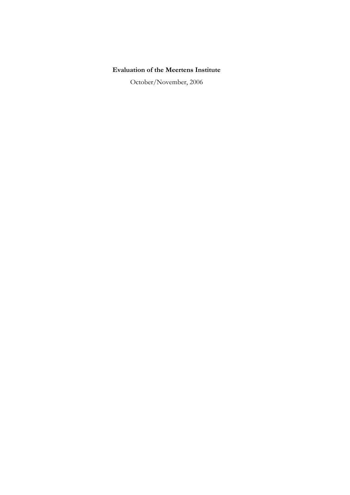# **Evaluation of the Meertens Institute**

October/November, 2006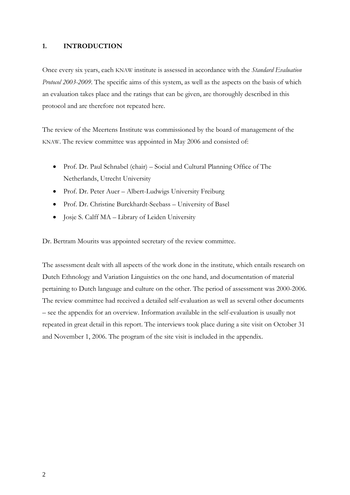### **1. INTRODUCTION**

Once every six years, each KNAW institute is assessed in accordance with the *Standard Evaluation Protocol 2003-2009*. The specific aims of this system, as well as the aspects on the basis of which an evaluation takes place and the ratings that can be given, are thoroughly described in this protocol and are therefore not repeated here.

The review of the Meertens Institute was commissioned by the board of management of the KNAW. The review committee was appointed in May 2006 and consisted of:

- Prof. Dr. Paul Schnabel (chair) Social and Cultural Planning Office of The Netherlands, Utrecht University
- Prof. Dr. Peter Auer Albert-Ludwigs University Freiburg
- Prof. Dr. Christine Burckhardt-Seebass University of Basel
- Josje S. Calff MA Library of Leiden University

Dr. Bertram Mourits was appointed secretary of the review committee.

The assessment dealt with all aspects of the work done in the institute, which entails research on Dutch Ethnology and Variation Linguistics on the one hand, and documentation of material pertaining to Dutch language and culture on the other. The period of assessment was 2000-2006. The review committee had received a detailed self-evaluation as well as several other documents – see the appendix for an overview. Information available in the self-evaluation is usually not repeated in great detail in this report. The interviews took place during a site visit on October 31 and November 1, 2006. The program of the site visit is included in the appendix.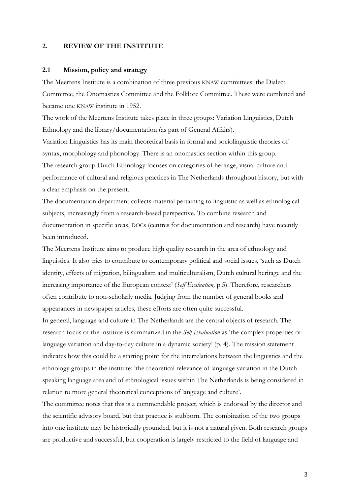### **2. REVIEW OF THE INSTITUTE**

#### **2.1 Mission, policy and strategy**

The Meertens Institute is a combination of three previous KNAW committees: the Dialect Committee, the Onomastics Committee and the Folklore Committee. These were combined and became one KNAW institute in 1952.

The work of the Meertens Institute takes place in three groups: Variation Linguistics, Dutch Ethnology and the library/documentation (as part of General Affairs).

Variation Linguistics has its main theoretical basis in formal and sociolinguistic theories of syntax, morphology and phonology. There is an onomastics section within this group. The research group Dutch Ethnology focuses on categories of heritage, visual culture and performance of cultural and religious practices in The Netherlands throughout history, but with a clear emphasis on the present.

The documentation department collects material pertaining to linguistic as well as ethnological subjects, increasingly from a research-based perspective. To combine research and documentation in specific areas, DOCs (centres for documentation and research) have recently been introduced.

The Meertens Institute aims to produce high quality research in the area of ethnology and linguistics. It also tries to contribute to contemporary political and social issues, 'such as Dutch identity, effects of migration, bilingualism and multiculturalism, Dutch cultural heritage and the increasing importance of the European context' (*Self Evaluation,* p.5). Therefore, researchers often contribute to non-scholarly media. Judging from the number of general books and appearances in newspaper articles, these efforts are often quite successful.

In general, language and culture in The Netherlands are the central objects of research. The research focus of the institute is summarized in the *Self Evaluation* as 'the complex properties of language variation and day-to-day culture in a dynamic society' (p. 4). The mission statement indicates how this could be a starting point for the interrelations between the linguistics and the ethnology groups in the institute: 'the theoretical relevance of language variation in the Dutch speaking language area and of ethnological issues within The Netherlands is being considered in relation to more general theoretical conceptions of language and culture'.

The committee notes that this is a commendable project, which is endorsed by the director and the scientific advisory board, but that practice is stubborn. The combination of the two groups into one institute may be historically grounded, but it is not a natural given. Both research groups are productive and successful, but cooperation is largely restricted to the field of language and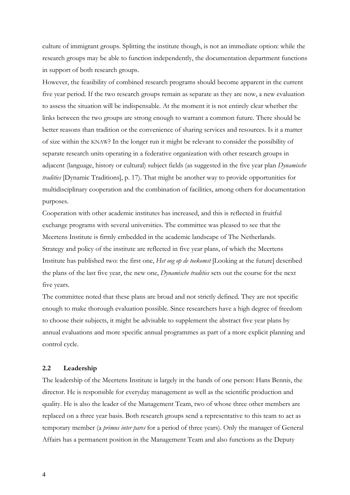culture of immigrant groups. Splitting the institute though, is not an immediate option: while the research groups may be able to function independently, the documentation department functions in support of both research groups.

However, the feasibility of combined research programs should become apparent in the current five year period. If the two research groups remain as separate as they are now, a new evaluation to assess the situation will be indispensable. At the moment it is not entirely clear whether the links between the two groups are strong enough to warrant a common future. There should be better reasons than tradition or the convenience of sharing services and resources. Is it a matter of size within the KNAW? In the longer run it might be relevant to consider the possibility of separate research units operating in a federative organization with other research groups in adjacent (language, history or cultural) subject fields (as suggested in the five year plan *Dynamische tradities* [Dynamic Traditions], p. 17). That might be another way to provide opportunities for multidisciplinary cooperation and the combination of facilities, among others for documentation purposes.

Cooperation with other academic institutes has increased, and this is reflected in fruitful exchange programs with several universities. The committee was pleased to see that the Meertens Institute is firmly embedded in the academic landscape of The Netherlands. Strategy and policy of the institute are reflected in five year plans, of which the Meertens Institute has published two: the first one, *Het oog op de toekomst* [Looking at the future] described the plans of the last five year, the new one, *Dynamische tradities* sets out the course for the next five years.

The committee noted that these plans are broad and not strictly defined. They are not specific enough to make thorough evaluation possible. Since researchers have a high degree of freedom to choose their subjects, it might be advisable to supplement the abstract five year plans by annual evaluations and more specific annual programmes as part of a more explicit planning and control cycle.

#### **2.2 Leadership**

The leadership of the Meertens Institute is largely in the hands of one person: Hans Bennis, the director. He is responsible for everyday management as well as the scientific production and quality. He is also the leader of the Management Team, two of whose three other members are replaced on a three year basis. Both research groups send a representative to this team to act as temporary member (a *primus inter pares* for a period of three years). Only the manager of General Affairs has a permanent position in the Management Team and also functions as the Deputy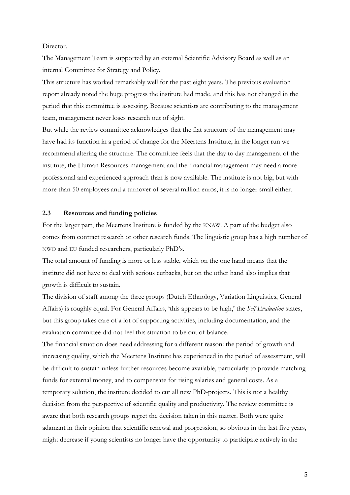#### Director.

The Management Team is supported by an external Scientific Advisory Board as well as an internal Committee for Strategy and Policy.

This structure has worked remarkably well for the past eight years. The previous evaluation report already noted the huge progress the institute had made, and this has not changed in the period that this committee is assessing. Because scientists are contributing to the management team, management never loses research out of sight.

But while the review committee acknowledges that the flat structure of the management may have had its function in a period of change for the Meertens Institute, in the longer run we recommend altering the structure. The committee feels that the day to day management of the institute, the Human Resources-management and the financial management may need a more professional and experienced approach than is now available. The institute is not big, but with more than 50 employees and a turnover of several million euros, it is no longer small either.

### **2.3 Resources and funding policies**

For the larger part, the Meertens Institute is funded by the KNAW. A part of the budget also comes from contract research or other research funds. The linguistic group has a high number of NWO and EU funded researchers, particularly PhD's.

The total amount of funding is more or less stable, which on the one hand means that the institute did not have to deal with serious cutbacks, but on the other hand also implies that growth is difficult to sustain.

The division of staff among the three groups (Dutch Ethnology, Variation Linguistics, General Affairs) is roughly equal. For General Affairs, 'this appears to be high,' the *Self Evaluation* states, but this group takes care of a lot of supporting activities, including documentation, and the evaluation committee did not feel this situation to be out of balance.

The financial situation does need addressing for a different reason: the period of growth and increasing quality, which the Meertens Institute has experienced in the period of assessment, will be difficult to sustain unless further resources become available, particularly to provide matching funds for external money, and to compensate for rising salaries and general costs. As a temporary solution, the institute decided to cut all new PhD-projects. This is not a healthy decision from the perspective of scientific quality and productivity. The review committee is aware that both research groups regret the decision taken in this matter. Both were quite adamant in their opinion that scientific renewal and progression, so obvious in the last five years, might decrease if young scientists no longer have the opportunity to participate actively in the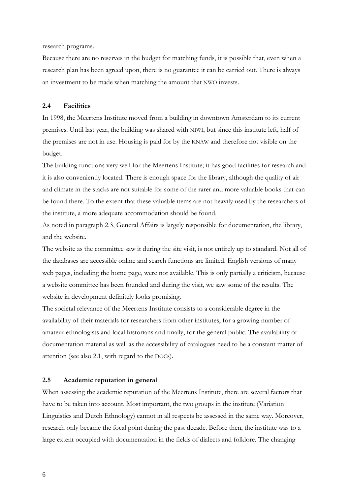research programs.

Because there are no reserves in the budget for matching funds, it is possible that, even when a research plan has been agreed upon, there is no guarantee it can be carried out. There is always an investment to be made when matching the amount that NWO invests.

# **2.4 Facilities**

In 1998, the Meertens Institute moved from a building in downtown Amsterdam to its current premises. Until last year, the building was shared with NIWI, but since this institute left, half of the premises are not in use. Housing is paid for by the KNAW and therefore not visible on the budget.

The building functions very well for the Meertens Institute; it has good facilities for research and it is also conveniently located. There is enough space for the library, although the quality of air and climate in the stacks are not suitable for some of the rarer and more valuable books that can be found there. To the extent that these valuable items are not heavily used by the researchers of the institute, a more adequate accommodation should be found.

As noted in paragraph 2.3, General Affairs is largely responsible for documentation, the library, and the website.

The website as the committee saw it during the site visit, is not entirely up to standard. Not all of the databases are accessible online and search functions are limited. English versions of many web pages, including the home page, were not available. This is only partially a criticism, because a website committee has been founded and during the visit, we saw some of the results. The website in development definitely looks promising.

The societal relevance of the Meertens Institute consists to a considerable degree in the availability of their materials for researchers from other institutes, for a growing number of amateur ethnologists and local historians and finally, for the general public. The availability of documentation material as well as the accessibility of catalogues need to be a constant matter of attention (see also 2.1, with regard to the DOCs).

### **2.5 Academic reputation in general**

When assessing the academic reputation of the Meertens Institute, there are several factors that have to be taken into account. Most important, the two groups in the institute (Variation Linguistics and Dutch Ethnology) cannot in all respects be assessed in the same way. Moreover, research only became the focal point during the past decade. Before then, the institute was to a large extent occupied with documentation in the fields of dialects and folklore. The changing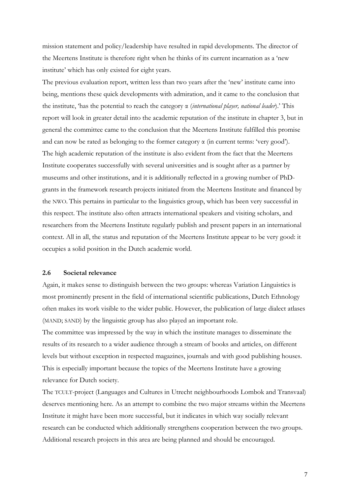mission statement and policy/leadership have resulted in rapid developments. The director of the Meertens Institute is therefore right when he thinks of its current incarnation as a 'new institute' which has only existed for eight years.

The previous evaluation report, written less than two years after the 'new' institute came into being, mentions these quick developments with admiration, and it came to the conclusion that the institute, 'has the potential to reach the category α (*international player, national leader*).' This report will look in greater detail into the academic reputation of the institute in chapter 3, but in general the committee came to the conclusion that the Meertens Institute fulfilled this promise and can now be rated as belonging to the former category  $\alpha$  (in current terms: 'very good'). The high academic reputation of the institute is also evident from the fact that the Meertens Institute cooperates successfully with several universities and is sought after as a partner by museums and other institutions, and it is additionally reflected in a growing number of PhDgrants in the framework research projects initiated from the Meertens Institute and financed by the NWO. This pertains in particular to the linguistics group, which has been very successful in this respect. The institute also often attracts international speakers and visiting scholars, and researchers from the Meertens Institute regularly publish and present papers in an international context. All in all, the status and reputation of the Meertens Institute appear to be very good: it occupies a solid position in the Dutch academic world.

# **2.6 Societal relevance**

Again, it makes sense to distinguish between the two groups: whereas Variation Linguistics is most prominently present in the field of international scientific publications, Dutch Ethnology often makes its work visible to the wider public. However, the publication of large dialect atlases (MAND; SAND) by the linguistic group has also played an important role.

The committee was impressed by the way in which the institute manages to disseminate the results of its research to a wider audience through a stream of books and articles, on different levels but without exception in respected magazines, journals and with good publishing houses. This is especially important because the topics of the Meertens Institute have a growing relevance for Dutch society.

The TCULT-project (Languages and Cultures in Utrecht neighbourhoods Lombok and Transvaal) deserves mentioning here. As an attempt to combine the two major streams within the Meertens Institute it might have been more successful, but it indicates in which way socially relevant research can be conducted which additionally strengthens cooperation between the two groups. Additional research projects in this area are being planned and should be encouraged.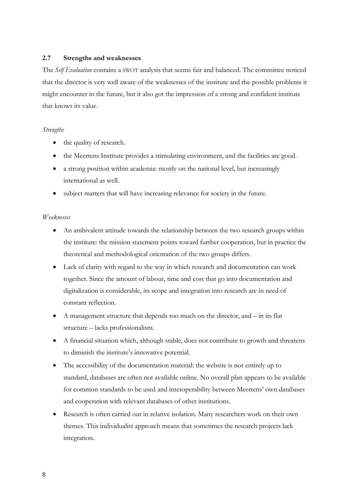# **2.7 Strengths and weaknesses**

The *Self Evaluation* contains a SWOT analysis that seems fair and balanced. The committee noticed that the director is very well aware of the weaknesses of the institute and the possible problems it might encounter in the future, but it also got the impression of a strong and confident institute that knows its value.

# *Strengths*

- the quality of research.
- the Meertens Institute provides a stimulating environment, and the facilities are good.
- a strong position within academia: mostly on the national level, but increasingly international as well.
- subject matters that will have increasing relevance for society in the future.

## *Weaknesses*

- An ambivalent attitude towards the relationship between the two research groups within the institute: the mission statement points toward further cooperation, but in practice the theoretical and methodological orientation of the two groups differs.
- Lack of clarity with regard to the way in which research and documentation can work together. Since the amount of labour, time and cost that go into documentation and digitalization is considerable, its scope and integration into research are in need of constant reflection.
- A management structure that depends too much on the director, and in its flat structure – lacks professionalism.
- A financial situation which, although stable, does not contribute to growth and threatens to diminish the institute's innovative potential.
- The accessibility of the documentation material: the website is not entirely up to standard, databases are often not available online. No overall plan appears to be available for common standards to be used and interoperability between Meertens' own databases and cooperation with relevant databases of other institutions.
- Research is often carried out in relative isolation. Many researchers work on their own themes. This individualist approach means that sometimes the research projects lack integration.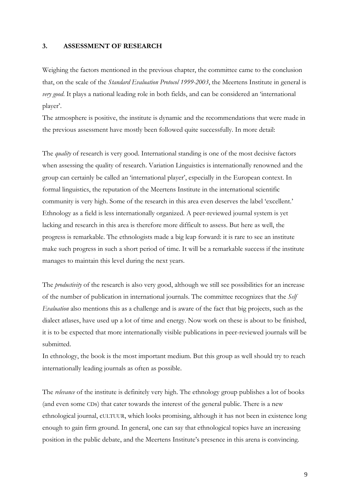### **3. ASSESSMENT OF RESEARCH**

Weighing the factors mentioned in the previous chapter, the committee came to the conclusion that, on the scale of the *Standard Evaluation Protocol 1999-2003*, the Meertens Institute in general is *very good*. It plays a national leading role in both fields, and can be considered an 'international player'.

The atmosphere is positive, the institute is dynamic and the recommendations that were made in the previous assessment have mostly been followed quite successfully. In more detail:

The *quality* of research is very good. International standing is one of the most decisive factors when assessing the quality of research. Variation Linguistics is internationally renowned and the group can certainly be called an 'international player', especially in the European context. In formal linguistics, the reputation of the Meertens Institute in the international scientific community is very high. Some of the research in this area even deserves the label 'excellent.' Ethnology as a field is less internationally organized. A peer-reviewed journal system is yet lacking and research in this area is therefore more difficult to assess. But here as well, the progress is remarkable. The ethnologists made a big leap forward: it is rare to see an institute make such progress in such a short period of time. It will be a remarkable success if the institute manages to maintain this level during the next years.

The *productivity* of the research is also very good, although we still see possibilities for an increase of the number of publication in international journals. The committee recognizes that the *Self Evaluation* also mentions this as a challenge and is aware of the fact that big projects, such as the dialect atlases, have used up a lot of time and energy. Now work on these is about to be finished, it is to be expected that more internationally visible publications in peer-reviewed journals will be submitted.

In ethnology, the book is the most important medium. But this group as well should try to reach internationally leading journals as often as possible.

The *relevance* of the institute is definitely very high. The ethnology group publishes a lot of books (and even some CDs) that cater towards the interest of the general public. There is a new ethnological journal, cULTUUR, which looks promising, although it has not been in existence long enough to gain firm ground. In general, one can say that ethnological topics have an increasing position in the public debate, and the Meertens Institute's presence in this arena is convincing.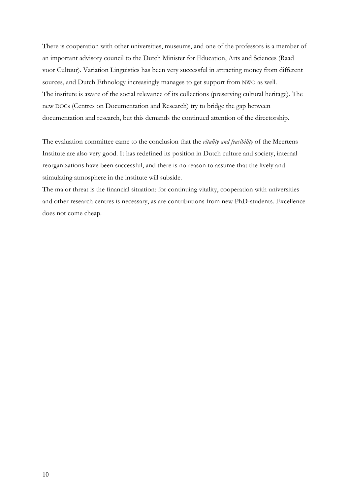There is cooperation with other universities, museums, and one of the professors is a member of an important advisory council to the Dutch Minister for Education, Arts and Sciences (Raad voor Cultuur). Variation Linguistics has been very successful in attracting money from different sources, and Dutch Ethnology increasingly manages to get support from NWO as well. The institute is aware of the social relevance of its collections (preserving cultural heritage). The new DOCs (Centres on Documentation and Research) try to bridge the gap between documentation and research, but this demands the continued attention of the directorship.

The evaluation committee came to the conclusion that the *vitality and feasibility* of the Meertens Institute are also very good. It has redefined its position in Dutch culture and society, internal reorganizations have been successful, and there is no reason to assume that the lively and stimulating atmosphere in the institute will subside.

The major threat is the financial situation: for continuing vitality, cooperation with universities and other research centres is necessary, as are contributions from new PhD-students. Excellence does not come cheap.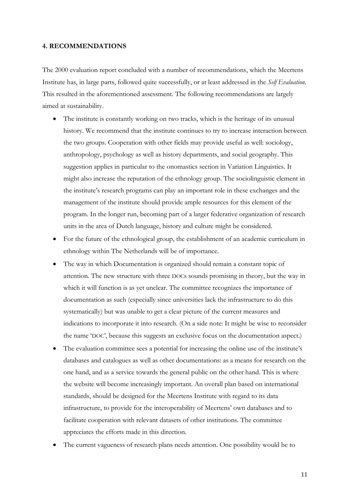#### **4. RECOMMENDATIONS**

The 2000 evaluation report concluded with a number of recommendations, which the Meertens Institute has, in large parts, followed quite successfully, or at least addressed in the *Self Evaluation*. This resulted in the aforementioned assessment. The following recommendations are largely aimed at sustainability.

- The institute is constantly working on two tracks, which is the heritage of its unusual history. We recommend that the institute continues to try to increase interaction between the two groups. Cooperation with other fields may provide useful as well: sociology, anthropology, psychology as well as history departments, and social geography. This suggestion applies in particular to the onomastics section in Variation Linguistics. It might also increase the reputation of the ethnology group. The sociolinguistic element in the institute's research programs can play an important role in these exchanges and the management of the institute should provide ample resources for this element of the program. In the longer run, becoming part of a larger federative organization of research units in the area of Dutch language, history and culture might be considered.
- For the future of the ethnological group, the establishment of an academic curriculum in ethnology within The Netherlands will be of importance.
- The way in which Documentation is organized should remain a constant topic of attention. The new structure with three DOCs sounds promising in theory, but the way in which it will function is as yet unclear. The committee recognizes the importance of documentation as such (especially since universities lack the infrastructure to do this systematically) but was unable to get a clear picture of the current measures and indications to incorporate it into research. (On a side note: It might be wise to reconsider the name 'DOC', because this suggests an exclusive focus on the documentation aspect.)
- The evaluation committee sees a potential for increasing the online use of the institute's databases and catalogues as well as other documentations: as a means for research on the one hand, and as a service towards the general public on the other hand. This is where the website will become increasingly important. An overall plan based on international standards, should be designed for the Meertens Institute with regard to its data infrastructure, to provide for the interoperability of Meertens' own databases and to facilitate cooperation with relevant datasets of other institutions. The committee appreciates the efforts made in this direction.
- The current vagueness of research plans needs attention. One possibility would be to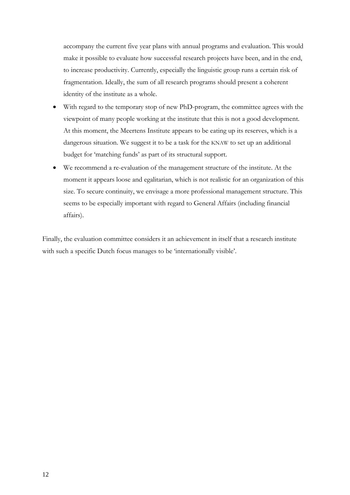accompany the current five year plans with annual programs and evaluation. This would make it possible to evaluate how successful research projects have been, and in the end, to increase productivity. Currently, especially the linguistic group runs a certain risk of fragmentation. Ideally, the sum of all research programs should present a coherent identity of the institute as a whole.

- With regard to the temporary stop of new PhD-program, the committee agrees with the viewpoint of many people working at the institute that this is not a good development. At this moment, the Meertens Institute appears to be eating up its reserves, which is a dangerous situation. We suggest it to be a task for the KNAW to set up an additional budget for 'matching funds' as part of its structural support.
- We recommend a re-evaluation of the management structure of the institute. At the moment it appears loose and egalitarian, which is not realistic for an organization of this size. To secure continuity, we envisage a more professional management structure. This seems to be especially important with regard to General Affairs (including financial affairs).

Finally, the evaluation committee considers it an achievement in itself that a research institute with such a specific Dutch focus manages to be 'internationally visible'.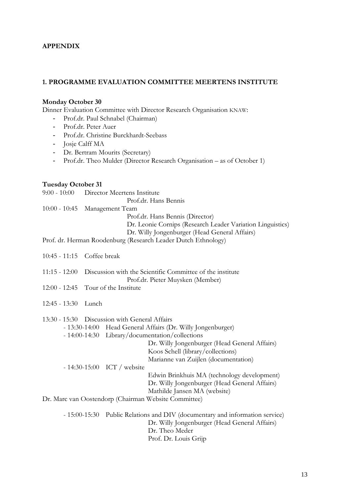# **APPENDIX**

# **1. PROGRAMME EVALUATION COMMITTEE MEERTENS INSTITUTE**

## **Monday October 30**

Dinner Evaluation Committee with Director Research Organisation KNAW:

- Prof.dr. Paul Schnabel (Chairman)
- Prof.dr. Peter Auer
- Prof.dr. Christine Burckhardt-Seebass
- Josje Calff MA
- Dr. Bertram Mourits (Secretary)
- Prof.dr. Theo Mulder (Director Research Organisation as of October 1)

# **Tuesday October 31**

| $9:00 - 10:00$  | Director Meertens Institute<br>Prof.dr. Hans Bennis                                                                                                                                                                                                                                                                                                                                                                                                                                                                   |
|-----------------|-----------------------------------------------------------------------------------------------------------------------------------------------------------------------------------------------------------------------------------------------------------------------------------------------------------------------------------------------------------------------------------------------------------------------------------------------------------------------------------------------------------------------|
| $10:00 - 10:45$ | Management Team<br>Prof.dr. Hans Bennis (Director)<br>Dr. Leonie Cornips (Research Leader Variation Linguistics)<br>Dr. Willy Jongenburger (Head General Affairs)                                                                                                                                                                                                                                                                                                                                                     |
|                 | Prof. dr. Herman Roodenburg (Research Leader Dutch Ethnology)                                                                                                                                                                                                                                                                                                                                                                                                                                                         |
| $10:45 - 11:15$ | Coffee break                                                                                                                                                                                                                                                                                                                                                                                                                                                                                                          |
| $11:15 - 12:00$ | Discussion with the Scientific Committee of the institute<br>Prof.dr. Pieter Muysken (Member)                                                                                                                                                                                                                                                                                                                                                                                                                         |
| $12:00 - 12:45$ | Tour of the Institute                                                                                                                                                                                                                                                                                                                                                                                                                                                                                                 |
| $12:45 - 13:30$ | Lunch                                                                                                                                                                                                                                                                                                                                                                                                                                                                                                                 |
|                 | 13:30 - 15:30 Discussion with General Affairs<br>- 13:30-14:00 Head General Affairs (Dr. Willy Jongenburger)<br>- 14:00-14:30 Library/documentation/collections<br>Dr. Willy Jongenburger (Head General Affairs)<br>Koos Schell (library/collections)<br>Marianne van Zuijlen (documentation)<br>$-14:30-15:00$ ICT / website<br>Edwin Brinkhuis MA (technology development)<br>Dr. Willy Jongenburger (Head General Affairs)<br>Mathilde Jansen MA (website)<br>Dr. Marc van Oostendorp (Chairman Website Committee) |
|                 | - 15:00-15:30 Public Relations and DIV (documentary and information service)<br>Dr. Willy Jongenburger (Head General Affairs)<br>Dr. Theo Meder<br>Prof. Dr. Louis Grijp                                                                                                                                                                                                                                                                                                                                              |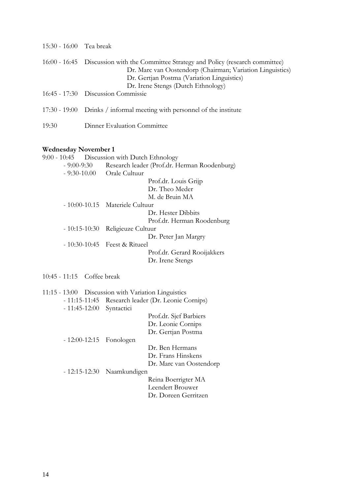| 15:30 - 16:00 Tea break                              |                                                                                                                                                                                                                                       |
|------------------------------------------------------|---------------------------------------------------------------------------------------------------------------------------------------------------------------------------------------------------------------------------------------|
|                                                      | 16:00 - 16:45 Discussion with the Committee Strategy and Policy (research committee)<br>Dr. Marc van Oostendorp (Chairman; Variation Linguistics)<br>Dr. Gertjan Postma (Variation Linguistics)<br>Dr. Irene Stengs (Dutch Ethnology) |
|                                                      | 16:45 - 17:30 Discussion Commissie                                                                                                                                                                                                    |
|                                                      | 17:30 - 19:00 Drinks / informal meeting with personnel of the institute                                                                                                                                                               |
| 19:30                                                | Dinner Evaluation Committee                                                                                                                                                                                                           |
| $\mathbf{W}$ , 1., 1., 1., $\mathbf{M}$ , 1., 1., 1. |                                                                                                                                                                                                                                       |

### **Wednesday November 1**

|                            | 9:00 - 10:45 Discussion with Dutch Ethnology                 |
|----------------------------|--------------------------------------------------------------|
| - 9:00-9:30                | Research leader (Prof.dr. Herman Roodenburg)                 |
|                            | - 9:30-10.00 Orale Cultuur                                   |
|                            | Prof.dr. Louis Grijp                                         |
|                            | Dr. Theo Meder                                               |
|                            | M. de Bruin MA                                               |
|                            | - 10:00-10.15 Materiele Cultuur                              |
|                            | Dr. Hester Dibbits                                           |
|                            | Prof.dr. Herman Roodenburg                                   |
|                            | - 10:15-10:30 Religieuze Cultuur                             |
|                            | Dr. Peter Jan Margry                                         |
|                            | $-10:30-10:45$ Feest & Ritueel                               |
|                            | Prof.dr. Gerard Rooijakkers                                  |
|                            | Dr. Irene Stengs                                             |
| 10:45 - 11:15 Coffee break |                                                              |
|                            | 11:15 - 13:00 Discussion with Variation Linguistics          |
|                            | 11.15 $11.45$ Decease leader $(D_n, L_{\text{con}})$ Coming) |

- 11:15-11:45 Research leader (Dr. Leonie Cornips)

- 11:45-12:00 Syntactici

 Prof.dr. Sjef Barbiers Dr. Leonie Cornips Dr. Gertjan Postma

- 12:00-12:15 Fonologen

 Dr. Ben Hermans Dr. Frans Hinskens Dr. Marc van Oostendorp

- 12:15-12:30 Naamkundigen

 Reina Boerrigter MA Leendert Brouwer Dr. Doreen Gerritzen